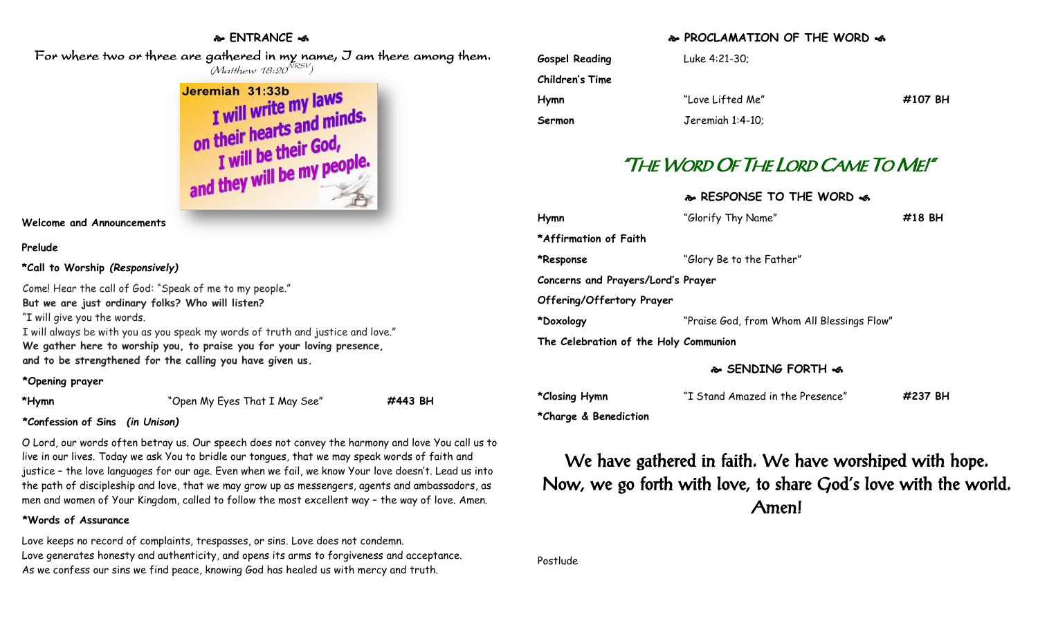### **ENTRANCE**

 For where two or three are gathered in my name, I am there among them.  $(M$ atthew 18:20 $^{NRSV})$ 



### **Welcome and Announcements**

### **Prelude**

**\*Call to Worship** *(Responsively)*

Come! Hear the call of God: "Speak of me to my people." **But we are just ordinary folks? Who will listen?** "I will give you the words. I will always be with you as you speak my words of truth and justice and love." **We gather here to worship you, to praise you for your loving presence,**

**and to be strengthened for the calling you have given us.**

### **\*Opening prayer**

**\*Hymn** "Open My Eyes That I May See" **#443 BH**

### **\*Confession of Sins** *(in Unison)*

O Lord, our words often betray us. Our speech does not convey the harmony and love You call us to live in our lives. Today we ask You to bridle our tongues, that we may speak words of faith and justice – the love languages for our age. Even when we fail, we know Your love doesn't. Lead us into the path of discipleship and love, that we may grow up as messengers, agents and ambassadors, as men and women of Your Kingdom, called to follow the most excellent way – the way of love. Amen.

### **\*Words of Assurance**

Love keeps no record of complaints, trespasses, or sins. Love does not condemn. Love generates honesty and authenticity, and opens its arms to forgiveness and acceptance. As we confess our sins we find peace, knowing God has healed us with mercy and truth.

### **PROCLAMATION OF THE WORD**

| <b>Gospel Reading</b> | Luke 4:21-30;    |         |
|-----------------------|------------------|---------|
| Children's Time       |                  |         |
| Hymn                  | "Love Lifted Me" | #107 BH |
| Sermon                | Jeremiah 1:4-10; |         |

# "THE WORD OF THE LORD CAME TO ME!"

### **RESPONSE TO THE WORD**  $\approx$

| Hymn                                  | "Glorify Thy Name"                         | #18 BH |  |  |
|---------------------------------------|--------------------------------------------|--------|--|--|
| *Affirmation of Faith                 |                                            |        |  |  |
| *Response                             | "Glory Be to the Father"                   |        |  |  |
| Concerns and Prayers/Lord's Prayer    |                                            |        |  |  |
| <b>Offering/Offertory Prayer</b>      |                                            |        |  |  |
| *Doxology                             | "Praise God, from Whom All Blessings Flow" |        |  |  |
| The Celebration of the Holy Communion |                                            |        |  |  |

### **SENDING FORTH**

| *Closing Hymn | "I Stand Amazed in the Presence" | #237 BH |
|---------------|----------------------------------|---------|
|---------------|----------------------------------|---------|

**\*Charge & Benediction**

We have gathered in faith. We have worshiped with hope. Now, we go forth with love, to share God's love with the world. Amen!

Postlude